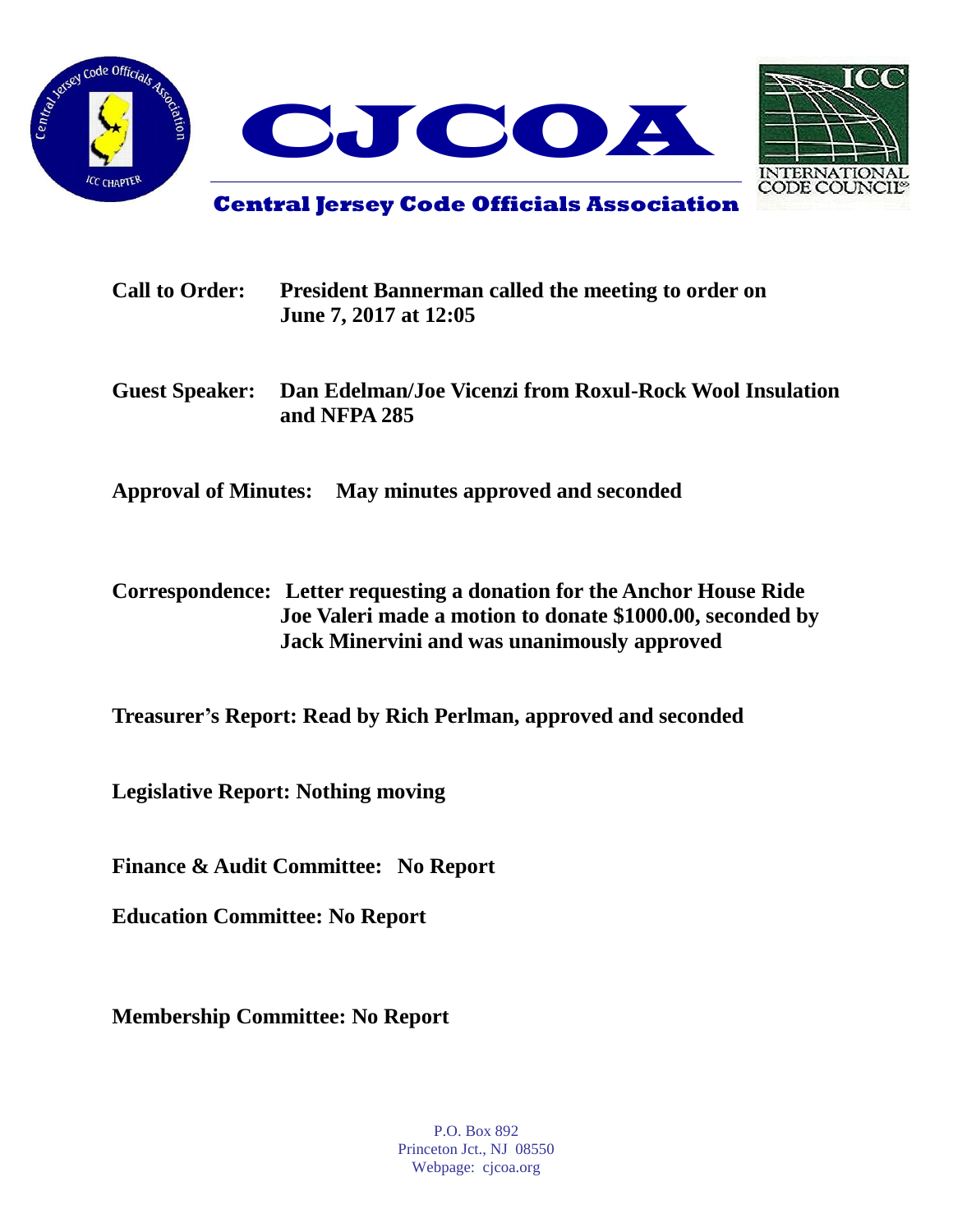



**Central Jersey Code Officials Association**

| <b>Call to Order:</b> | <b>President Bannerman called the meeting to order on</b><br>June 7, 2017 at 12:05 |
|-----------------------|------------------------------------------------------------------------------------|
| <b>Guest Speaker:</b> | Dan Edelman/Joe Vicenzi from Roxul-Rock Wool Insulation<br>and NFPA 285            |
|                       | Approval of Minutes: May minutes approved and seconded                             |

**Correspondence: Letter requesting a donation for the Anchor House Ride Joe Valeri made a motion to donate \$1000.00, seconded by Jack Minervini and was unanimously approved**

**Treasurer's Report: Read by Rich Perlman, approved and seconded**

**Legislative Report: Nothing moving**

**Finance & Audit Committee: No Report**

**Education Committee: No Report**

**Membership Committee: No Report**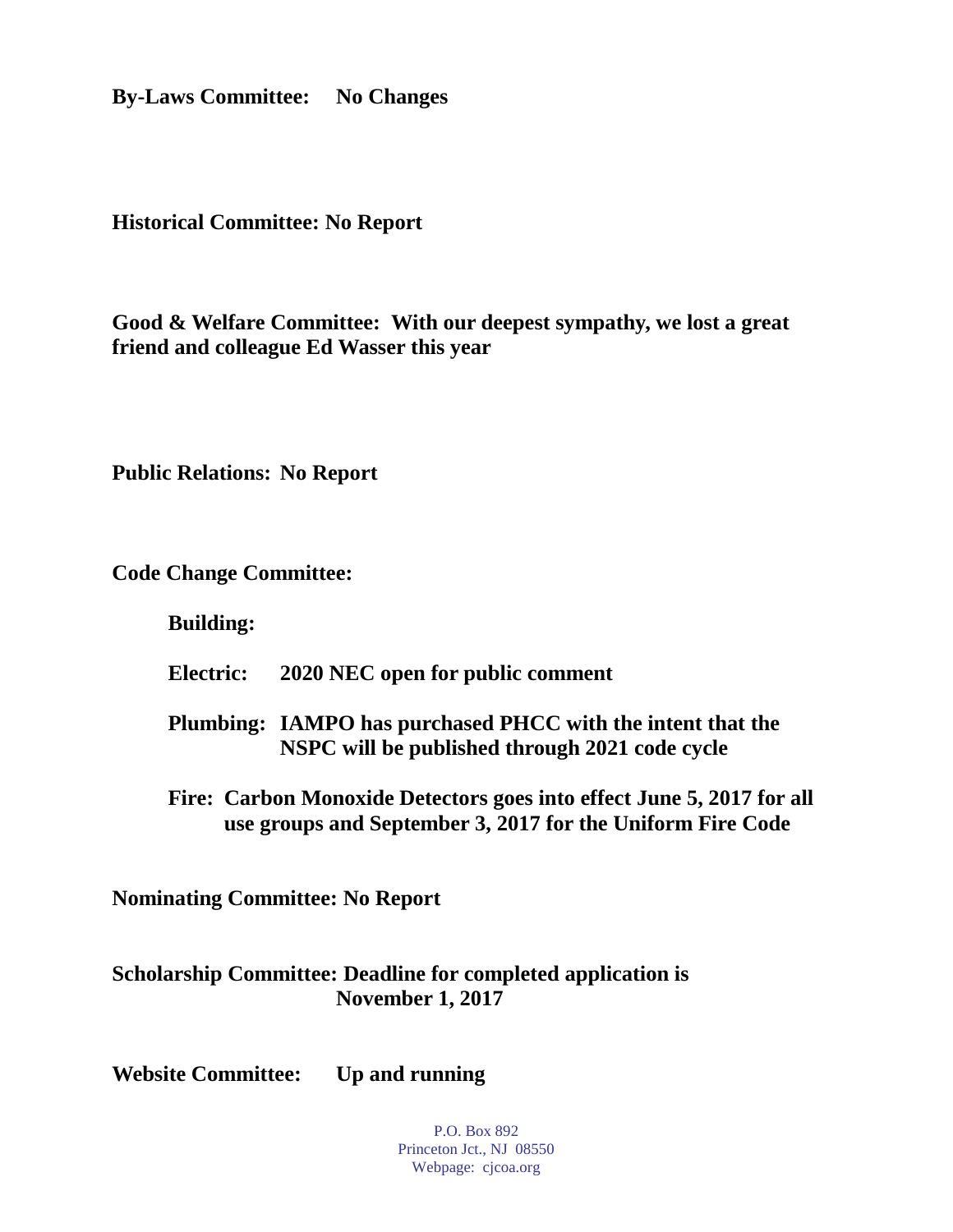**By-Laws Committee: No Changes**

**Historical Committee: No Report**

**Good & Welfare Committee: With our deepest sympathy, we lost a great friend and colleague Ed Wasser this year**

**Public Relations: No Report**

**Code Change Committee:**

**Building:**

**Electric: 2020 NEC open for public comment**

**Plumbing: IAMPO has purchased PHCC with the intent that the NSPC will be published through 2021 code cycle**

**Fire: Carbon Monoxide Detectors goes into effect June 5, 2017 for all use groups and September 3, 2017 for the Uniform Fire Code**

**Nominating Committee: No Report**

**Scholarship Committee: Deadline for completed application is November 1, 2017**

**Website Committee: Up and running**

P.O. Box 892 Princeton Jct., NJ 08550 Webpage: cjcoa.org